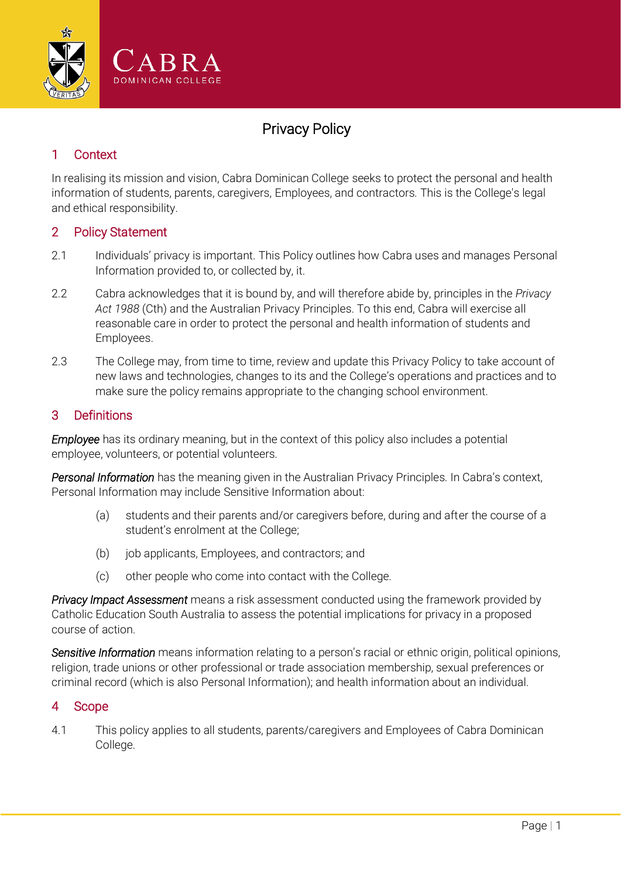

# Privacy Policy

# 1 Context

In realising its mission and vision, Cabra Dominican College seeks to protect the personal and health information of students, parents, caregivers, Employees, and contractors. This is the College's legal and ethical responsibility.

# 2 Policy Statement

- 2.1 Individuals' privacy is important. This Policy outlines how Cabra uses and manages Personal Information provided to, or collected by, it.
- 2.2 Cabra acknowledges that it is bound by, and will therefore abide by, principles in the *Privacy Act 1988* (Cth) and the Australian Privacy Principles. To this end, Cabra will exercise all reasonable care in order to protect the personal and health information of students and Employees.
- 2.3 The College may, from time to time, review and update this Privacy Policy to take account of new laws and technologies, changes to its and the College's operations and practices and to make sure the policy remains appropriate to the changing school environment.

# 3 Definitions

*Employee* has its ordinary meaning, but in the context of this policy also includes a potential employee, volunteers, or potential volunteers.

*Personal Information* has the meaning given in the Australian Privacy Principles. In Cabra's context, Personal Information may include Sensitive Information about:

- (a) students and their parents and/or caregivers before, during and after the course of a student's enrolment at the College;
- (b) job applicants, Employees, and contractors; and
- (c) other people who come into contact with the College.

*Privacy Impact Assessment* means a risk assessment conducted using the framework provided by Catholic Education South Australia to assess the potential implications for privacy in a proposed course of action.

*Sensitive Information* means information relating to a person's racial or ethnic origin, political opinions, religion, trade unions or other professional or trade association membership, sexual preferences or criminal record (which is also Personal Information); and health information about an individual.

# 4 Scope

4.1 This policy applies to all students, parents/caregivers and Employees of Cabra Dominican College.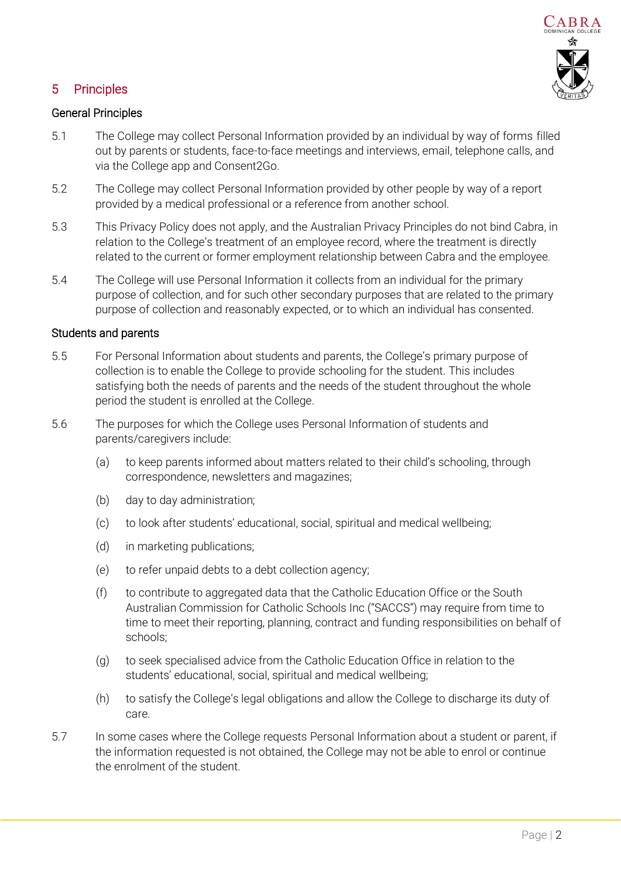

# 5 Principles

# General Principles

- 5.1 The College may collect Personal Information provided by an individual by way of forms filled out by parents or students, face-to-face meetings and interviews, email, telephone calls, and via the College app and Consent2Go.
- 5.2 The College may collect Personal Information provided by other people by way of a report provided by a medical professional or a reference from another school.
- 5.3 This Privacy Policy does not apply, and the Australian Privacy Principles do not bind Cabra, in relation to the College's treatment of an employee record, where the treatment is directly related to the current or former employment relationship between Cabra and the employee.
- 5.4 The College will use Personal Information it collects from an individual for the primary purpose of collection, and for such other secondary purposes that are related to the primary purpose of collection and reasonably expected, or to which an individual has consented.

#### Students and parents

- 5.5 For Personal Information about students and parents, the College's primary purpose of collection is to enable the College to provide schooling for the student. This includes satisfying both the needs of parents and the needs of the student throughout the whole period the student is enrolled at the College.
- 5.6 The purposes for which the College uses Personal Information of students and parents/caregivers include:
	- (a) to keep parents informed about matters related to their child's schooling, through correspondence, newsletters and magazines;
	- (b) day to day administration;
	- (c) to look after students' educational, social, spiritual and medical wellbeing;
	- (d) in marketing publications;
	- (e) to refer unpaid debts to a debt collection agency;
	- (f) to contribute to aggregated data that the Catholic Education Office or the South Australian Commission for Catholic Schools Inc ("SACCS") may require from time to time to meet their reporting, planning, contract and funding responsibilities on behalf of schools;
	- (g) to seek specialised advice from the Catholic Education Office in relation to the students' educational, social, spiritual and medical wellbeing;
	- (h) to satisfy the College's legal obligations and allow the College to discharge its duty of care.
- 5.7 In some cases where the College requests Personal Information about a student or parent, if the information requested is not obtained, the College may not be able to enrol or continue the enrolment of the student.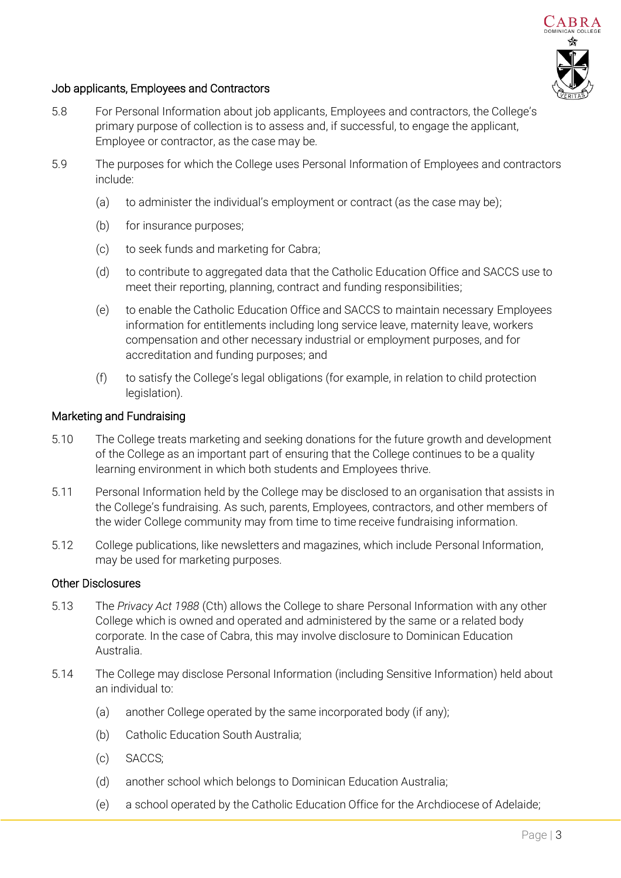

# Job applicants, Employees and Contractors

- 5.8 For Personal Information about job applicants, Employees and contractors, the College's primary purpose of collection is to assess and, if successful, to engage the applicant, Employee or contractor, as the case may be.
- 5.9 The purposes for which the College uses Personal Information of Employees and contractors include:
	- (a) to administer the individual's employment or contract (as the case may be);
	- (b) for insurance purposes;
	- (c) to seek funds and marketing for Cabra;
	- (d) to contribute to aggregated data that the Catholic Education Office and SACCS use to meet their reporting, planning, contract and funding responsibilities;
	- (e) to enable the Catholic Education Office and SACCS to maintain necessary Employees information for entitlements including long service leave, maternity leave, workers compensation and other necessary industrial or employment purposes, and for accreditation and funding purposes; and
	- (f) to satisfy the College's legal obligations (for example, in relation to child protection legislation).

#### Marketing and Fundraising

- 5.10 The College treats marketing and seeking donations for the future growth and development of the College as an important part of ensuring that the College continues to be a quality learning environment in which both students and Employees thrive.
- 5.11 Personal Information held by the College may be disclosed to an organisation that assists in the College's fundraising. As such, parents, Employees, contractors, and other members of the wider College community may from time to time receive fundraising information.
- 5.12 College publications, like newsletters and magazines, which include Personal Information, may be used for marketing purposes.

#### Other Disclosures

- 5.13 The *Privacy Act 1988* (Cth) allows the College to share Personal Information with any other College which is owned and operated and administered by the same or a related body corporate. In the case of Cabra, this may involve disclosure to Dominican Education Australia.
- 5.14 The College may disclose Personal Information (including Sensitive Information) held about an individual to:
	- (a) another College operated by the same incorporated body (if any);
	- (b) Catholic Education South Australia;
	- (c) SACCS;
	- (d) another school which belongs to Dominican Education Australia;
	- (e) a school operated by the Catholic Education Office for the Archdiocese of Adelaide;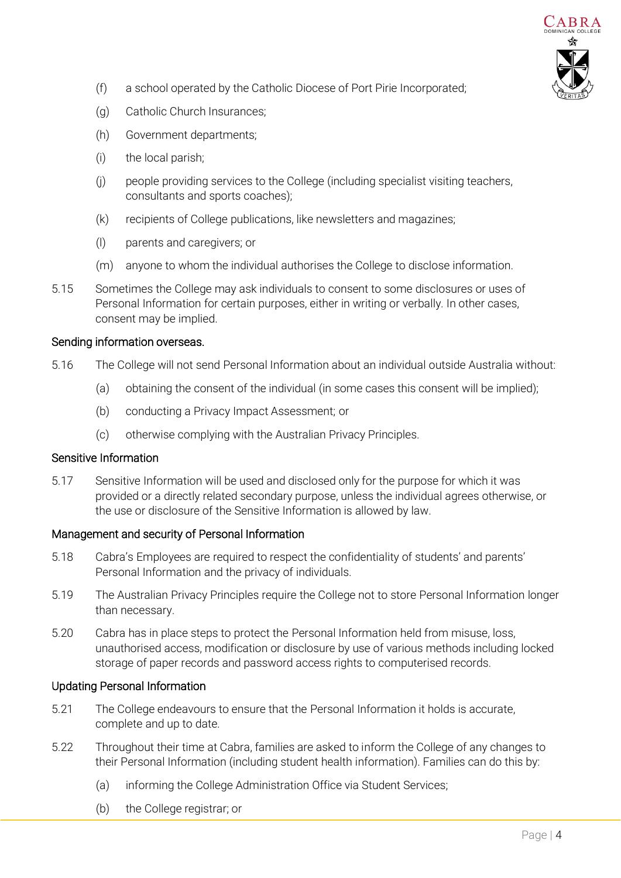

- (f) a school operated by the Catholic Diocese of Port Pirie Incorporated;
- (g) Catholic Church Insurances;
- (h) Government departments;
- (i) the local parish;
- (j) people providing services to the College (including specialist visiting teachers, consultants and sports coaches);
- (k) recipients of College publications, like newsletters and magazines;
- (l) parents and caregivers; or
- (m) anyone to whom the individual authorises the College to disclose information.
- 5.15 Sometimes the College may ask individuals to consent to some disclosures or uses of Personal Information for certain purposes, either in writing or verbally. In other cases, consent may be implied.

#### Sending information overseas.

- 5.16 The College will not send Personal Information about an individual outside Australia without:
	- (a) obtaining the consent of the individual (in some cases this consent will be implied);
	- (b) conducting a Privacy Impact Assessment; or
	- (c) otherwise complying with the Australian Privacy Principles.

#### Sensitive Information

5.17 Sensitive Information will be used and disclosed only for the purpose for which it was provided or a directly related secondary purpose, unless the individual agrees otherwise, or the use or disclosure of the Sensitive Information is allowed by law.

# Management and security of Personal Information

- 5.18 Cabra's Employees are required to respect the confidentiality of students' and parents' Personal Information and the privacy of individuals.
- 5.19 The Australian Privacy Principles require the College not to store Personal Information longer than necessary.
- 5.20 Cabra has in place steps to protect the Personal Information held from misuse, loss, unauthorised access, modification or disclosure by use of various methods including locked storage of paper records and password access rights to computerised records.

# Updating Personal Information

- 5.21 The College endeavours to ensure that the Personal Information it holds is accurate, complete and up to date.
- 5.22 Throughout their time at Cabra, families are asked to inform the College of any changes to their Personal Information (including student health information). Families can do this by:
	- (a) informing the College Administration Office via Student Services;
	- (b) the College registrar; or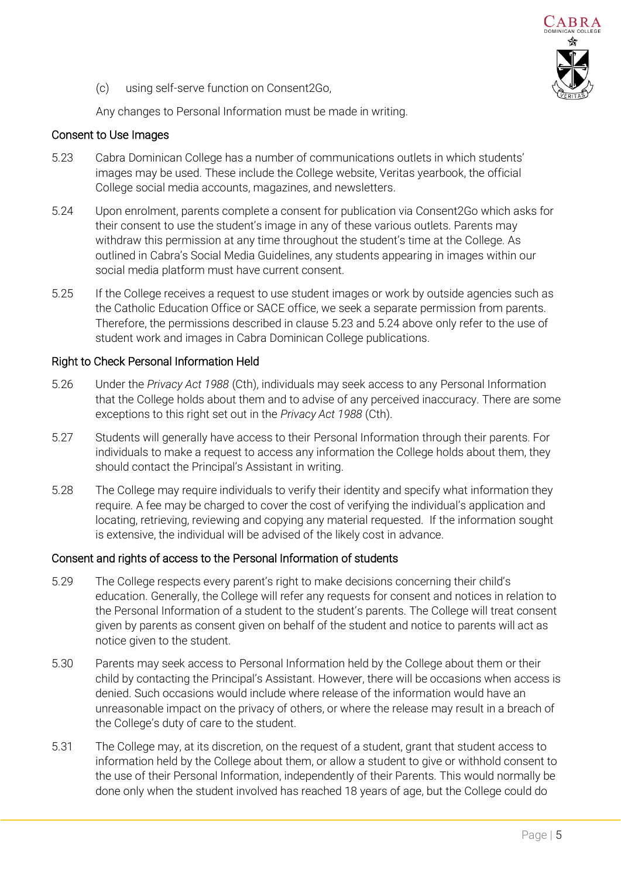

(c) using self-serve function on Consent2Go,

Any changes to Personal Information must be made in writing.

### Consent to Use Images

- <span id="page-4-0"></span>5.23 Cabra Dominican College has a number of communications outlets in which students' images may be used. These include the College website, Veritas yearbook, the official College social media accounts, magazines, and newsletters.
- <span id="page-4-1"></span>5.24 Upon enrolment, parents complete a consent for publication via Consent2Go which asks for their consent to use the student's image in any of these various outlets. Parents may withdraw this permission at any time throughout the student's time at the College. As outlined in Cabra's Social Media Guidelines, any students appearing in images within our social media platform must have current consent.
- 5.25 If the College receives a request to use student images or work by outside agencies such as the Catholic Education Office or SACE office, we seek a separate permission from parents. Therefore, the permissions described in clause [5.23](#page-4-0) and [5.24 above](#page-4-1) only refer to the use of student work and images in Cabra Dominican College publications.

#### Right to Check Personal Information Held

- 5.26 Under the *Privacy Act 1988* (Cth), individuals may seek access to any Personal Information that the College holds about them and to advise of any perceived inaccuracy. There are some exceptions to this right set out in the *Privacy Act 1988* (Cth).
- 5.27 Students will generally have access to their Personal Information through their parents. For individuals to make a request to access any information the College holds about them, they should contact the Principal's Assistant in writing.
- 5.28 The College may require individuals to verify their identity and specify what information they require. A fee may be charged to cover the cost of verifying the individual's application and locating, retrieving, reviewing and copying any material requested. If the information sought is extensive, the individual will be advised of the likely cost in advance.

# Consent and rights of access to the Personal Information of students

- 5.29 The College respects every parent's right to make decisions concerning their child's education. Generally, the College will refer any requests for consent and notices in relation to the Personal Information of a student to the student's parents. The College will treat consent given by parents as consent given on behalf of the student and notice to parents will act as notice given to the student.
- 5.30 Parents may seek access to Personal Information held by the College about them or their child by contacting the Principal's Assistant. However, there will be occasions when access is denied. Such occasions would include where release of the information would have an unreasonable impact on the privacy of others, or where the release may result in a breach of the College's duty of care to the student.
- 5.31 The College may, at its discretion, on the request of a student, grant that student access to information held by the College about them, or allow a student to give or withhold consent to the use of their Personal Information, independently of their Parents. This would normally be done only when the student involved has reached 18 years of age, but the College could do